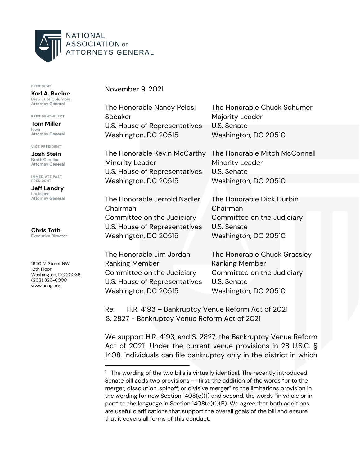

PRESIDENT

Karl A. Racine District of Columbia **Attorney General** 

PRESIDENT-ELECT **Tom Miller** lowa Attorney General

**VICE PRESIDENT** 

Josh Stein North Carolina **Attorney General** 

**IMMEDIATE PAST** PRESIDENT

**Jeff Landry** Louisiana **Attorney General** 

**Chris Toth Executive Director** 

1850 M Street NW 12th Floor Washington, DC 20036  $(202)$  326-6000 www.naag.org

November 9, 2021

Speaker Majority Leader U.S. House of Representatives U.S. Senate Washington, DC 20515 Washington, DC 20510

Minority Leader **Minority Leader** U.S. House of Representatives U.S. Senate Washington, DC 20515 Washington, DC 20510

The Honorable Jerrold Nadler The Honorable Dick Durbin Chairman Chairman Committee on the Judiciary Committee on the Judiciary U.S. House of Representatives U.S. Senate Washington, DC 20515 Washington, DC 20510

Ranking Member **Ranking Member** Committee on the Judiciary Committee on the Judiciary U.S. House of Representatives U.S. Senate Washington, DC 20515 Washington, DC 20510

The Honorable Nancy Pelosi The Honorable Chuck Schumer

The Honorable Kevin McCarthy The Honorable Mitch McConnell

The Honorable Jim Jordan The Honorable Chuck Grassley

Re: H.R. 4193 – Bankruptcy Venue Reform Act of 2021 S. 2827 - Bankruptcy Venue Reform Act of 2021

We support H.R. 4193, and S. 2827, the Bankruptcy Venue Reform Act of 2021'. Under the current venue provisions in 28 U.S.C. § 1408, individuals can file bankruptcy only in the district in which

<sup>&</sup>lt;sup>1</sup> The wording of the two bills is virtually identical. The recently introduced Senate bill adds two provisions -- first, the addition of the words "or to the merger, dissolution, spinoff, or divisive merger" to the limitations provision in the wording for new Section 1408(c)(1) and second, the words "in whole or in part" to the language in Section  $1408(c)(1)(B)$ . We agree that both additions are useful clarifications that support the overall goals of the bill and ensure that it covers all forms of this conduct.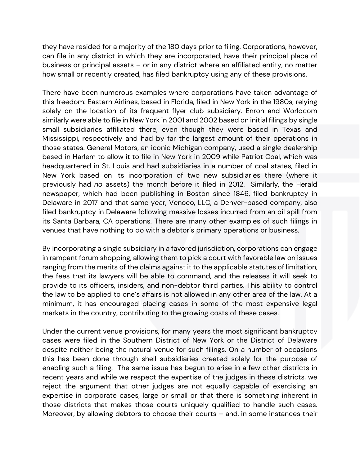they have resided for a majority of the 180 days prior to filing. Corporations, however, can file in any district in which they are incorporated, have their principal place of business or principal assets – or in any district where an affiliated entity, no matter how small or recently created, has filed bankruptcy using any of these provisions.

There have been numerous examples where corporations have taken advantage of this freedom: Eastern Airlines, based in Florida, filed in New York in the 1980s, relying solely on the location of its frequent flyer club subsidiary. Enron and Worldcom similarly were able to file in New York in 2001 and 2002 based on initial filings by single small subsidiaries affiliated there, even though they were based in Texas and Mississippi, respectively and had by far the largest amount of their operations in those states. General Motors, an iconic Michigan company, used a single dealership based in Harlem to allow it to file in New York in 2009 while Patriot Coal, which was headquartered in St. Louis and had subsidiaries in a number of coal states, filed in New York based on its incorporation of two new subsidiaries there (where it previously had *no* assets) the month before it filed in 2012. Similarly, the Herald newspaper, which had been publishing in Boston since 1846, filed bankruptcy in Delaware in 2017 and that same year, Venoco, LLC, a Denver-based company, also filed bankruptcy in Delaware following massive losses incurred from an oil spill from its Santa Barbara, CA operations. There are many other examples of such filings in venues that have nothing to do with a debtor's primary operations or business.

By incorporating a single subsidiary in a favored jurisdiction, corporations can engage in rampant forum shopping, allowing them to pick a court with favorable law on issues ranging from the merits of the claims against it to the applicable statutes of limitation, the fees that its lawyers will be able to command, and the releases it will seek to provide to its officers, insiders, and non-debtor third parties. This ability to control the law to be applied to one's affairs is not allowed in any other area of the law. At a minimum, it has encouraged placing cases in some of the most expensive legal markets in the country, contributing to the growing costs of these cases.

Under the current venue provisions, for many years the most significant bankruptcy cases were filed in the Southern District of New York or the District of Delaware despite neither being the natural venue for such filings. On a number of occasions this has been done through shell subsidiaries created solely for the purpose of enabling such a filing. The same issue has begun to arise in a few other districts in recent years and while we respect the expertise of the judges in these districts, we reject the argument that other judges are not equally capable of exercising an expertise in corporate cases, large or small or that there is something inherent in those districts that makes those courts uniquely qualified to handle such cases. Moreover, by allowing debtors to choose their courts – and, in some instances their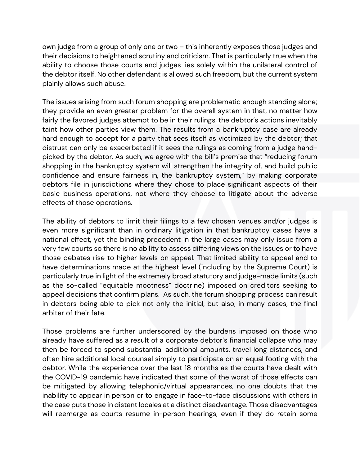own judge from a group of only one or two – this inherently exposes those judges and their decisions to heightened scrutiny and criticism. That is particularly true when the ability to choose those courts and judges lies solely within the unilateral control of the debtor itself. No other defendant is allowed such freedom, but the current system plainly allows such abuse.

The issues arising from such forum shopping are problematic enough standing alone; they provide an even greater problem for the overall system in that, no matter how fairly the favored judges attempt to be in their rulings, the debtor's actions inevitably taint how other parties view them. The results from a bankruptcy case are already hard enough to accept for a party that sees itself as victimized by the debtor; that distrust can only be exacerbated if it sees the rulings as coming from a judge handpicked by the debtor. As such, we agree with the bill's premise that "reducing forum shopping in the bankruptcy system will strengthen the integrity of, and build public confidence and ensure fairness in, the bankruptcy system," by making corporate debtors file in jurisdictions where they chose to place significant aspects of their basic business operations, not where they choose to litigate about the adverse effects of those operations.

The ability of debtors to limit their filings to a few chosen venues and/or judges is even more significant than in ordinary litigation in that bankruptcy cases have a national effect, yet the binding precedent in the large cases may only issue from a very few courts so there is no ability to assess differing views on the issues or to have those debates rise to higher levels on appeal. That limited ability to appeal and to have determinations made at the highest level (including by the Supreme Court) is particularly true in light of the extremely broad statutory and judge-made limits (such as the so-called "equitable mootness" doctrine) imposed on creditors seeking to appeal decisions that confirm plans. As such, the forum shopping process can result in debtors being able to pick not only the initial, but also, in many cases, the final arbiter of their fate.

Those problems are further underscored by the burdens imposed on those who already have suffered as a result of a corporate debtor's financial collapse who may then be forced to spend substantial additional amounts, travel long distances, and often hire additional local counsel simply to participate on an equal footing with the debtor. While the experience over the last 18 months as the courts have dealt with the COVID-19 pandemic have indicated that some of the worst of those effects can be mitigated by allowing telephonic/virtual appearances, no one doubts that the inability to appear in person or to engage in face-to-face discussions with others in the case puts those in distant locales at a distinct disadvantage. Those disadvantages will reemerge as courts resume in-person hearings, even if they do retain some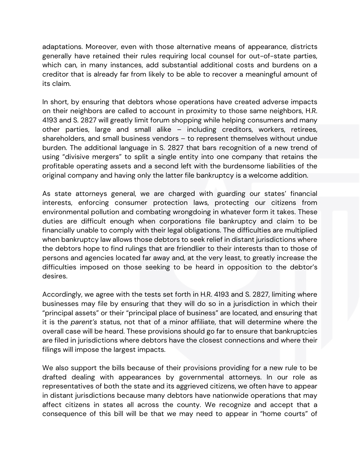adaptations. Moreover, even with those alternative means of appearance, districts generally have retained their rules requiring local counsel for out-of-state parties, which can, in many instances, add substantial additional costs and burdens on a creditor that is already far from likely to be able to recover a meaningful amount of its claim.

In short, by ensuring that debtors whose operations have created adverse impacts on their neighbors are called to account in proximity to those same neighbors, H.R. 4193 and S. 2827 will greatly limit forum shopping while helping consumers and many other parties, large and small alike – including creditors, workers, retirees, shareholders, and small business vendors – to represent themselves without undue burden. The additional language in S. 2827 that bars recognition of a new trend of using "divisive mergers" to split a single entity into one company that retains the profitable operating assets and a second left with the burdensome liabilities of the original company and having only the latter file bankruptcy is a welcome addition.

As state attorneys general, we are charged with guarding our states' financial interests, enforcing consumer protection laws, protecting our citizens from environmental pollution and combating wrongdoing in whatever form it takes. These duties are difficult enough when corporations file bankruptcy and claim to be financially unable to comply with their legal obligations. The difficulties are multiplied when bankruptcy law allows those debtors to seek relief in distant jurisdictions where the debtors hope to find rulings that are friendlier to their interests than to those of persons and agencies located far away and, at the very least, to greatly increase the difficulties imposed on those seeking to be heard in opposition to the debtor's desires.

Accordingly, we agree with the tests set forth in H.R. 4193 and S. 2827, limiting where businesses may file by ensuring that they will do so in a jurisdiction in which their "principal assets" or their "principal place of business" are located, and ensuring that it is the *parent's* status, not that of a minor affiliate, that will determine where the overall case will be heard. These provisions should go far to ensure that bankruptcies are filed in jurisdictions where debtors have the closest connections and where their filings will impose the largest impacts.

We also support the bills because of their provisions providing for a new rule to be drafted dealing with appearances by governmental attorneys. In our role as representatives of both the state and its aggrieved citizens, we often have to appear in distant jurisdictions because many debtors have nationwide operations that may affect citizens in states all across the county. We recognize and accept that a consequence of this bill will be that we may need to appear in "home courts" of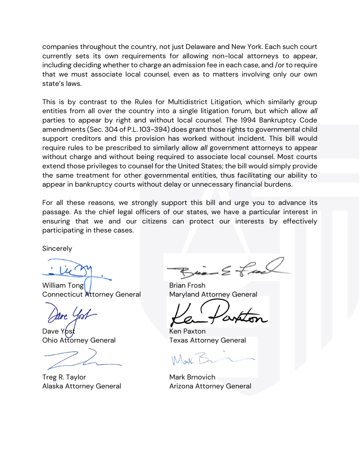companies throughout the country, not just Delaware and New York. Each such court currently sets its own requirements for allowing non-local attorneys to appear, including deciding whether to charge an admission fee in each case, and /or to require that we must associate local counsel, even as to matters involving only our own state's laws.

This is by contrast to the Rules for Multidistrict Litigation, which similarly group entities from all over the country into a single litigation forum, but which allow *all* parties to appear by right and without local counsel. The 1994 Bankruptcy Code amendments (Sec. 304 of P.L. 103-394) does grant those rights to governmental child support creditors and this provision has worked without incident. This bill would require rules to be prescribed to similarly allow *all* government attorneys to appear without charge and without being required to associate local counsel. Most courts extend those privileges to counsel for the United States; the bill would simply provide the same treatment for other governmental entities, thus facilitating our ability to appear in bankruptcy courts without delay or unnecessary financial burdens.

For all these reasons, we strongly support this bill and urge you to advance its passage. As the chief legal officers of our states, we have a particular interest in ensuring that we and our citizens can protect our interests by effectively participating in these cases.

**Sincerely** 

William Tong I and Brian Frosh Connecticut Attorney General Maryland Attorney General

Dave Ybst **Ken Paxton** 

Treg R. Taylor **Mark Brnovich** 

 $\leq$  fa

Ohio Attorney General Texas Attorney General

Alaska Attorney General Arizona Attorney General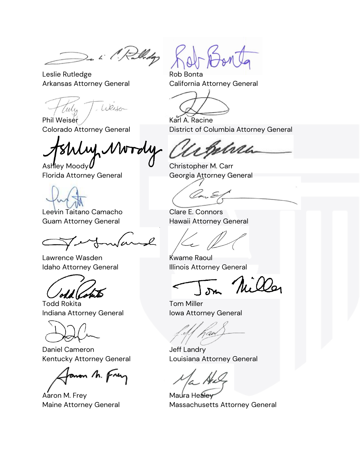De L' Palledge

Leslie Rutledge **Rob Bonta** Arkansas Attorney General California Attorney General

Weiser au

Phil Weiser / **Karl A. Racine** 

(ii) Mw

Ashley Moody  $U$  Christopher M. Carr



Leevin Taitano Camacho Camacho Clare E. Connors Guam Attorney General **Hawaii Attorney General** 

 $\sim$ l

Lawrence Wasden Kwame Raoul

ohd (Com

Todd Rokita Tom Miller Indiana Attorney General **Indiana Attorney General** 

Daniel Cameron Jeff Landry

anon M. Frey

Aaron M. Frey **Maura Healey** 

Colorado Attorney General **District of Columbia Attorney General** 

nai

Florida Attorney General Georgia Attorney General

Idaho Attorney General **Illinois Attorney General** 

In Miller

Kentucky Attorney General Louisiana Attorney General

Maine Attorney General Massachusetts Attorney General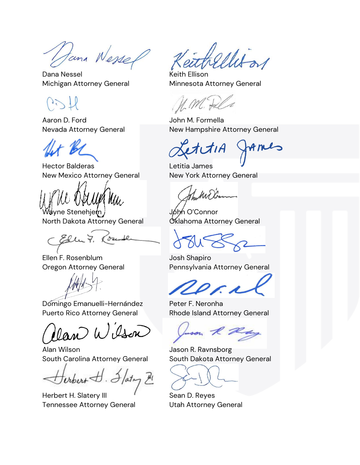Jana Wessel

Dana Nessel New York Care Keith Ellison

Aaron D. Ford John M. Formella

Hector Balderas Letitia James New Mexico Attorney General New York Attorney General

Wayne Stenehjem John O'Connor North Dakota Attorney General **Canadian Control** Attorney General

Ellu 7.

Ellen F. Rosenblum Josh Shapiro

Domingo Emanuelli-Hernández Peter F. Neronha Puerto Rico Attorney General Rhode Island Attorney General

lan Wisson

Alan Wilson **Alan Wilson Communist Communist Communist Communist Communist Communist Communist Communist Communist Communist Communist Communist Communist Communist Communist Communist Communist Communist Communist Communi** South Carolina Attorney General South Dakota Attorney General

where H. Flaty H

Herbert H. Slatery III **Sean D. Reyes** Tennessee Attorney General Utah Attorney General

Michigan Attorney General Minnesota Attorney General

Nevada Attorney General New Hampshire Attorney General

formes

Oregon Attorney General Pennsylvania Attorney General

huson R Ray